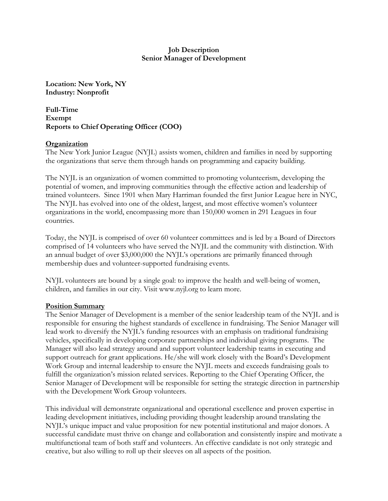#### **Job Description Senior Manager of Development**

**Location: New York, NY Industry: Nonprofit**

**Full-Time Exempt Reports to Chief Operating Officer (COO)**

#### **Organization**

The New York Junior League (NYJL) assists women, children and families in need by supporting the organizations that serve them through hands on programming and capacity building.

The NYJL is an organization of women committed to promoting volunteerism, developing the potential of women, and improving communities through the effective action and leadership of trained volunteers. Since 1901 when Mary Harriman founded the first Junior League here in NYC, The NYJL has evolved into one of the oldest, largest, and most effective women's volunteer organizations in the world, encompassing more than 150,000 women in 291 Leagues in four countries.

Today, the NYJL is comprised of over 60 volunteer committees and is led by a Board of Directors comprised of 14 volunteers who have served the NYJL and the community with distinction. With an annual budget of over \$3,000,000 the NYJL's operations are primarily financed through membership dues and volunteer-supported fundraising events.

NYJL volunteers are bound by a single goal: to improve the health and well-being of women, children, and families in our city. Visit www.nyjl.org to learn more.

#### **Position Summary**

The Senior Manager of Development is a member of the senior leadership team of the NYJL and is responsible for ensuring the highest standards of excellence in fundraising. The Senior Manager will lead work to diversify the NYJL's funding resources with an emphasis on traditional fundraising vehicles, specifically in developing corporate partnerships and individual giving programs. The Manager will also lead strategy around and support volunteer leadership teams in executing and support outreach for grant applications. He/she will work closely with the Board's Development Work Group and internal leadership to ensure the NYJL meets and exceeds fundraising goals to fulfill the organization's mission related services. Reporting to the Chief Operating Officer, the Senior Manager of Development will be responsible for setting the strategic direction in partnership with the Development Work Group volunteers.

This individual will demonstrate organizational and operational excellence and proven expertise in leading development initiatives, including providing thought leadership around translating the NYJL's unique impact and value proposition for new potential institutional and major donors. A successful candidate must thrive on change and collaboration and consistently inspire and motivate a multifunctional team of both staff and volunteers. An effective candidate is not only strategic and creative, but also willing to roll up their sleeves on all aspects of the position.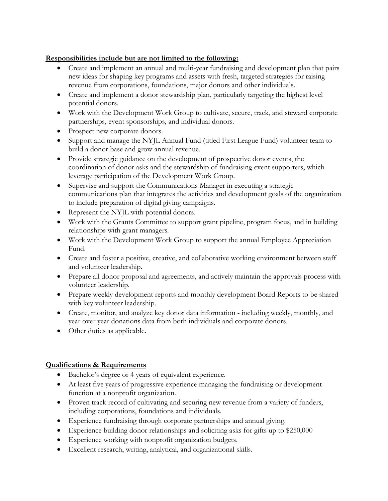## **Responsibilities include but are not limited to the following:**

- Create and implement an annual and multi-year fundraising and development plan that pairs new ideas for shaping key programs and assets with fresh, targeted strategies for raising revenue from corporations, foundations, major donors and other individuals.
- Create and implement a donor stewardship plan, particularly targeting the highest level potential donors.
- Work with the Development Work Group to cultivate, secure, track, and steward corporate partnerships, event sponsorships, and individual donors.
- Prospect new corporate donors.
- Support and manage the NYJL Annual Fund (titled First League Fund) volunteer team to build a donor base and grow annual revenue.
- Provide strategic guidance on the development of prospective donor events, the coordination of donor asks and the stewardship of fundraising event supporters, which leverage participation of the Development Work Group.
- Supervise and support the Communications Manager in executing a strategic communications plan that integrates the activities and development goals of the organization to include preparation of digital giving campaigns.
- Represent the NYJL with potential donors.
- Work with the Grants Committee to support grant pipeline, program focus, and in building relationships with grant managers.
- Work with the Development Work Group to support the annual Employee Appreciation Fund.
- Create and foster a positive, creative, and collaborative working environment between staff and volunteer leadership.
- Prepare all donor proposal and agreements, and actively maintain the approvals process with volunteer leadership.
- Prepare weekly development reports and monthly development Board Reports to be shared with key volunteer leadership.
- Create, monitor, and analyze key donor data information including weekly, monthly, and year over year donations data from both individuals and corporate donors.
- Other duties as applicable.

## **Qualifications & Requirements**

- Bachelor's degree or 4 years of equivalent experience.
- At least five years of progressive experience managing the fundraising or development function at a nonprofit organization.
- Proven track record of cultivating and securing new revenue from a variety of funders, including corporations, foundations and individuals.
- Experience fundraising through corporate partnerships and annual giving.
- Experience building donor relationships and soliciting asks for gifts up to \$250,000
- Experience working with nonprofit organization budgets.
- Excellent research, writing, analytical, and organizational skills.